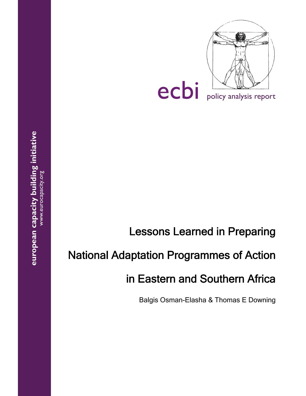

# Lessons Learned in Preparing

# National Adaptation Programmes of Action

# in Eastern and Southern Africa

Balgis Osman-Elasha & Thomas E Downing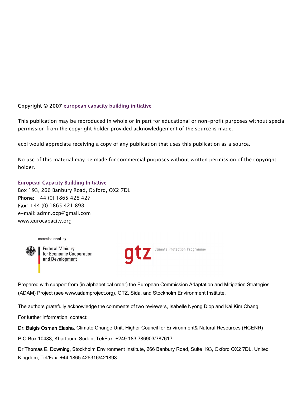### Copyright © 2007 european capacity building initiative

This publication may be reproduced in whole or in part for educational or non-profit purposes without special permission from the copyright holder provided acknowledgement of the source is made.

ecbi would appreciate receiving a copy of any publication that uses this publication as a source.

No use of this material may be made for commercial purposes without written permission of the copyright holder.

### European Capacity Building Initiative

Box 193, 266 Banbury Road, Oxford, OX2 7DL Phone: +44 (0) 1865 428 427 Fax: +44 (0) 1865 421 898 e-mail: admn.ocp@gmail.com www.eurocapacity.org





**Federal Ministry** for Economic Cooperation and Development



Prepared with support from (in alphabetical order) the European Commission Adaptation and Mitigation Strategies (ADAM) Project (see www.adamproject.org), GTZ, Sida, and Stockholm Environment Institute.

The authors gratefully acknowledge the comments of two reviewers, Isabelle Nyong Diop and Kai Kim Chang.

For further information, contact:

Dr. Balgis Osman Elasha, Climate Change Unit, Higher Council for Environment& Natural Resources (HCENR)

P.O.Box 10488, Khartoum, Sudan, Tel/Fax: +249 183 786903/787617

Dr Thomas E. Downing, Stockholm Environment Institute, 266 Banbury Road, Suite 193, Oxford OX2 7DL, United Kingdom, Tel/Fax: +44 1865 426316/421898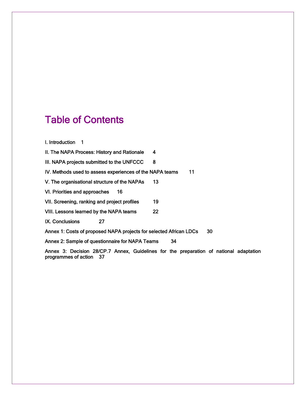# Table of Contents

I. Introduction 1

II. The NAPA Process: History and Rationale 4

III. NAPA projects submitted to the UNFCCC 8

IV. Methods used to assess experiences of the NAPA teams 11

V. The organisational structure of the NAPAs 13

VI. Priorities and approaches 16

VII. Screening, ranking and project profiles 19

VIII. Lessons learned by the NAPA teams 22

IX. Conclusions 27

Annex 1: Costs of proposed NAPA projects for selected African LDCs 30

Annex 2: Sample of questionnaire for NAPA Teams 34

Annex 3: Decision 28/CP.7 Annex, Guidelines for the preparation of national adaptation programmes of action 37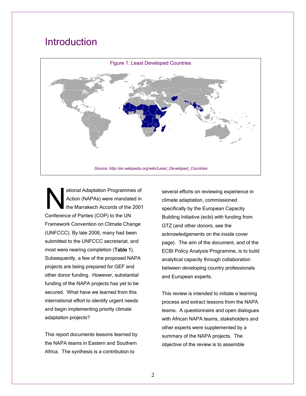# **Introduction**



ational Adaptation Programmes of Action (NAPAs) were mandated in the Marrakech Accords of the 2001 Conference of Parties (COP) to the UN Framework Convention on Climate Change (UNFCCC). By late 2006, many had been submitted to the UNFCCC secretariat, and most were nearing completion (Table 1). Subsequently, a few of the proposed NAPA projects are being prepared for GEF and other donor funding. However, substantial funding of the NAPA projects has yet to be secured. What have we learned from this international effort to identify urgent needs and begin implementing priority climate adaptation projects? National Action

This report documents lessons learned by the NAPA teams in Eastern and Southern Africa. The synthesis is a contribution to

several efforts on reviewing experience in climate adaptation, commissioned specifically by the European Capacity Building Initiative (ecbi) with funding from GTZ (and other donors, see the acknowledgements on the inside cover page). The aim of the document, and of the ECBI Policy Analysis Programme, is to build analytical capacity through collaboration between developing country professionals and European experts.

This review is intended to initiate a learning process and extract lessons from the NAPA teams. A questionnaire and open dialogues with African NAPA teams, stakeholders and other experts were supplemented by a summary of the NAPA projects. The objective of the review is to assemble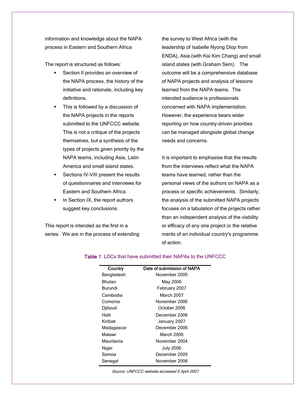information and knowledge about the NAPA process in Eastern and Southern Africa.

The report is structured as follows:

- **Section II provides an overview of** the NAPA process, the history of the initiative and rationale, including key definitions.
- This is followed by a discussion of the NAPA projects in the reports submitted to the UNFCCC website. This is not a critique of the projects themselves, but a synthesis of the types of projects given priority by the NAPA teams, including Asia, Latin America and small island states.
- Sections IV-VIII present the results of questionnaires and interviews for Eastern and Southern Africa.
- In Section IX, the report authors suggest key conclusions.

This report is intended as the first in a series. We are in the process of extending the survey to West Africa (with the leadership of Isabelle Nyong Diop from ENDA), Asia (with Kai Kim Chang) and small island states (with Graham Sem). The outcome will be a comprehensive database of NAPA projects and analysis of lessons learned from the NAPA teams. The intended audience is professionals concerned with NAPA implementation. However, the experience bears wider reporting on how country-driven priorities can be managed alongside global change needs and concerns.

It is important to emphasise that the results from the interviews reflect what the NAPA teams have learned, rather than the personal views of the authors on NAPA as a process or specific achievements. Similarly, the analysis of the submitted NAPA projects focuses on a tabulation of the projects rather than an independent analysis of the viability or efficacy of any one project or the relative merits of an individual country's programme of action.

| Country       | Date of submission of NAPA |
|---------------|----------------------------|
| Bangladesh    | November 2005              |
| <b>Bhutan</b> | May 2006                   |
| Burundi       | February 2007              |
| Cambodia      | March 2007                 |
| Comoros       | November 2006              |
| Djibouti      | October 2006               |
| Haïti         | December 2006              |
| Kiribati      | January 2007               |
| Madagascar    | December 2006              |
| Malawi        | March 2006                 |
| Mauritania    | November 2004              |
| Niger         | <b>July 2006</b>           |
| Samoa         | December 2005              |
| Senegal       | November 2006              |
|               |                            |

#### Table 1: LDCs that have submitted their NAPAs to the UNFCCC

3 Source: UNFCCC website accessed 5 April 2007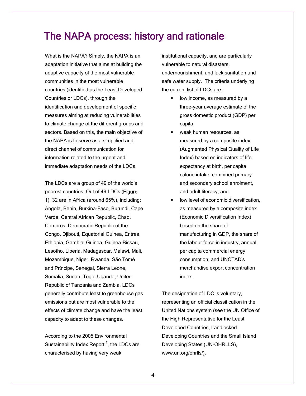# The NAPA process: history and rationale

What is the NAPA? Simply, the NAPA is an adaptation initiative that aims at building the adaptive capacity of the most vulnerable communities in the most vulnerable countries (identified as the Least Developed Countries or LDCs), through the identification and development of specific measures aiming at reducing vulnerabilities to climate change of the different groups and sectors. Based on this, the main objective of the NAPA is to serve as a simplified and direct channel of communication for information related to the urgent and immediate adaptation needs of the LDCs.

The LDCs are a group of 49 of the world's poorest countries. Out of 49 LDCs (Figure 1), 32 are in Africa (around 65%), including: Angola, Benin, Burkina-Faso, Burundi, Cape Verde, Central African Republic, Chad, Comoros, Democratic Republic of the Congo, Djibouti, Equatorial Guinea, Eritrea, Ethiopia, Gambia, Guinea, Guinea-Bissau, Lesotho, Liberia, Madagascar, Malawi, Mali, Mozambique, Niger, Rwanda, São Tomé and Prίncipe, Senegal, Sierra Leone, Somalia, Sudan, Togo, Uganda, United Republic of Tanzania and Zambia. LDCs generally contribute least to greenhouse gas emissions but are most vulnerable to the effects of climate change and have the least capacity to adapt to these changes.

According to the 2005 Environmental Sustainability Index Report<sup>1</sup>, the LDCs are characterised by having very weak

institutional capacity, and are particularly vulnerable to natural disasters, undernourishment, and lack sanitation and safe water supply. The criteria underlying the current list of LDCs are:

- **IDOM** income, as measured by a three-year average estimate of the gross domestic product (GDP) per capita;
- weak human resources, as measured by a composite index (Augmented Physical Quality of Life Index) based on indicators of life expectancy at birth, per capita calorie intake, combined primary and secondary school enrolment, and adult literacy; and
- low level of economic diversification, as measured by a composite index (Economic Diversification Index) based on the share of manufacturing in GDP, the share of the labour force in industry, annual per capita commercial energy consumption, and UNCTAD's merchandise export concentration index.

The designation of LDC is voluntary, representing an official classification in the United Nations system (see the UN Office of the High Representative for the Least Developed Countries, Landlocked Developing Countries and the Small Island Developing States (UN-OHRLLS), www.un.org/ohrlls/).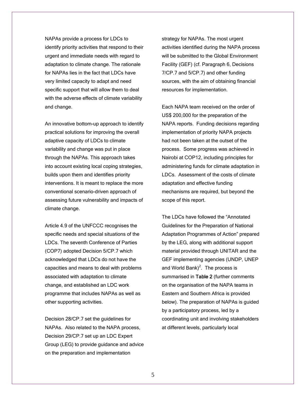NAPAs provide a process for LDCs to identify priority activities that respond to their urgent and immediate needs with regard to adaptation to climate change. The rationale for NAPAs lies in the fact that LDCs have very limited capacity to adapt and need specific support that will allow them to deal with the adverse effects of climate variability and change.

An innovative bottom-up approach to identify practical solutions for improving the overall adaptive capacity of LDCs to climate variability and change was put in place through the NAPAs. This approach takes into account existing local coping strategies, builds upon them and identifies priority interventions. It is meant to replace the more conventional scenario-driven approach of assessing future vulnerability and impacts of climate change.

Article 4.9 of the UNFCCC recognises the specific needs and special situations of the LDCs. The seventh Conference of Parties (COP7) adopted Decision 5/CP.7 which acknowledged that LDCs do not have the capacities and means to deal with problems associated with adaptation to climate change, and established an LDC work programme that includes NAPAs as well as other supporting activities.

Decision 28/CP.7 set the guidelines for NAPAs. Also related to the NAPA process, Decision 29/CP.7 set up an LDC Expert Group (LEG) to provide guidance and advice on the preparation and implementation

strategy for NAPAs. The most urgent activities identified during the NAPA process will be submitted to the Global Environment Facility (GEF) (cf. Paragraph 6, Decisions 7/CP.7 and 5/CP.7) and other funding sources, with the aim of obtaining financial resources for implementation.

Each NAPA team received on the order of US\$ 200,000 for the preparation of the NAPA reports. Funding decisions regarding implementation of priority NAPA projects had not been taken at the outset of the process. Some progress was achieved in Nairobi at COP12, including principles for administering funds for climate adaptation in LDCs. Assessment of the costs of climate adaptation and effective funding mechanisms are required, but beyond the scope of this report.

The LDCs have followed the "Annotated Guidelines for the Preparation of National Adaptation Programmes of Action" prepared by the LEG, along with additional support material provided through UNITAR and the GEF implementing agencies (UNDP, UNEP and World Bank)<sup>2</sup>. The process is summarised in Table 2 (further comments on the organisation of the NAPA teams in Eastern and Southern Africa is provided below). The preparation of NAPAs is guided by a participatory process, led by a coordinating unit and involving stakeholders at different levels, particularly local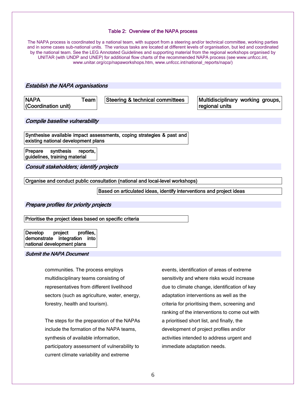#### Table 2: Overview of the NAPA process

The NAPA process is coordinated by a national team, with support from a steering and/or technical committee, working parties and in some cases sub-national units. The various tasks are located at different levels of organisation, but led and coordinated by the national team. See the LEG Annotated Guidelines and supporting material from the regional workshops organised by UNITAR (with UNDP and UNEP) for additional flow charts of the recommended NAPA process (see www.unfccc.int, www.unitar.org/ccp/napaworkshops.htm, www.unfccc.int/national\_reports/napa/)

Establish the NAPA organisations

| <b>NAPA</b><br>(Coordination unit) | ™eam⊤ | Steering & technical committees | Multidisciplinary working groups,<br>regional units |
|------------------------------------|-------|---------------------------------|-----------------------------------------------------|
|                                    |       |                                 |                                                     |

Compile baseline vulnerability

Synthesise available impact assessments, coping strategies & past and existing national development plans

Prepare synthesis reports, guidelines, training material

Consult stakeholders; identify projects

Organise and conduct public consultation (national and local-level workshops)

Based on articulated ideas, identify interventions and project ideas

Prepare profiles for priority projects

Prioritise the project ideas based on specific criteria

Develop project profiles, demonstrate integration into national development plans

#### Submit the NAPA Document

communities. The process employs multidisciplinary teams consisting of representatives from different livelihood sectors (such as agriculture, water, energy, forestry, health and tourism).

The steps for the preparation of the NAPAs include the formation of the NAPA teams, synthesis of available information, participatory assessment of vulnerability to current climate variability and extreme

events, identification of areas of extreme sensitivity and where risks would increase due to climate change, identification of key adaptation interventions as well as the criteria for prioritising them, screening and ranking of the interventions to come out with a prioritised short list, and finally, the development of project profiles and/or activities intended to address urgent and immediate adaptation needs.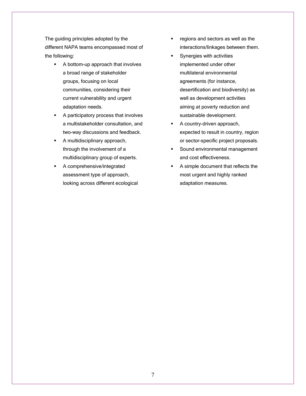The guiding principles adopted by the different NAPA teams encompassed most of the following:

- A bottom-up approach that involves a broad range of stakeholder groups, focusing on local communities, considering their current vulnerability and urgent adaptation needs.
- **A participatory process that involves** a multistakeholder consultation, and two-way discussions and feedback.
- **A** multidisciplinary approach, through the involvement of a multidisciplinary group of experts.
- A comprehensive/integrated assessment type of approach, looking across different ecological
- **regions and sectors as well as the** interactions/linkages between them.
- **Synergies with activities** implemented under other multilateral environmental agreements (for instance, desertification and biodiversity) as well as development activities aiming at poverty reduction and sustainable development.
- **A** country-driven approach, expected to result in country, region or sector-specific project proposals.
- Sound environmental management and cost effectiveness.
- A simple document that reflects the most urgent and highly ranked adaptation measures.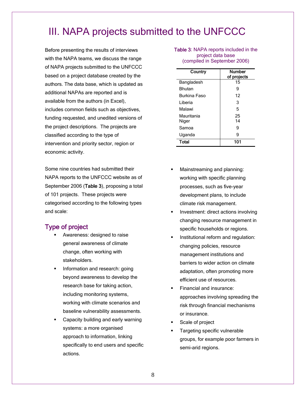# III. NAPA projects submitted to the UNFCCC

Before presenting the results of interviews with the NAPA teams, we discuss the range of NAPA projects submitted to the UNFCCC based on a project database created by the authors. The data base, which is updated as additional NAPAs are reported and is available from the authors (in Excel), includes common fields such as objectives, funding requested, and unedited versions of the project descriptions. The projects are classified according to the type of intervention and priority sector, region or economic activity.

Some nine countries had submitted their NAPA reports to the UNFCCC website as of September 2006 (Table 3), proposing a total of 101 projects. These projects were categorised according to the following types and scale:

### Type of project

- Awareness: designed to raise general awareness of climate change, often working with stakeholders.
- Information and research: going beyond awareness to develop the research base for taking action, including monitoring systems, working with climate scenarios and baseline vulnerability assessments.
- Capacity building and early warning systems: a more organised approach to information, linking specifically to end users and specific actions.

Table 3: NAPA reports included in the project data base (compiled in September 2006)

| Country       | <b>Number</b><br>of projects |
|---------------|------------------------------|
| Bangladesh    | 15                           |
| <b>Bhutan</b> | 9                            |
| Burkina Faso  | 12                           |
| I iberia      | 3                            |
| Malawi        | 5                            |
| Mauritania    | 25                           |
| Niger         | 14                           |
| Samoa         | 9                            |
| Uganda        | 9                            |
| Total         | 101                          |

- Mainstreaming and planning: working with specific planning processes, such as five-year development plans, to include climate risk management.
- Investment: direct actions involving changing resource management in specific households or regions.
- Institutional reform and regulation: changing policies, resource management institutions and barriers to wider action on climate adaptation, often promoting more efficient use of resources.
- Financial and insurance: approaches involving spreading the risk through financial mechanisms or insurance.
- Scale of project
- Targeting specific vulnerable groups, for example poor farmers in semi-arid regions.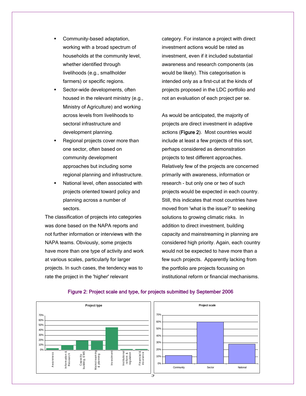- Community-based adaptation, working with a broad spectrum of households at the community level, whether identified through livelihoods (e.g., smallholder farmers) or specific regions.
- Sector-wide developments, often housed in the relevant ministry (e.g., Ministry of Agriculture) and working across levels from livelihoods to sectoral infrastructure and development planning.
- Regional projects cover more than one sector, often based on community development approaches but including some regional planning and infrastructure.
- **National level, often associated with** projects oriented toward policy and planning across a number of sectors.

The classification of projects into categories was done based on the NAPA reports and not further information or interviews with the NAPA teams. Obviously, some projects have more than one type of activity and work at various scales, particularly for larger projects. In such cases, the tendency was to rate the project in the 'higher' relevant

category. For instance a project with direct investment actions would be rated as investment, even if it included substantial awareness and research components (as would be likely). This categorisation is intended only as a first-cut at the kinds of projects proposed in the LDC portfolio and not an evaluation of each project per se.

As would be anticipated, the majority of projects are direct investment in adaptive actions (Figure 2). Most countries would include at least a few projects of this sort, perhaps considered as demonstration projects to test different approaches. Relatively few of the projects are concerned primarily with awareness, information or research - but only one or two of such projects would be expected in each country. Still, this indicates that most countries have moved from 'what is the issue?' to seeking solutions to growing climatic risks. In addition to direct investment, building capacity and mainstreaming in planning are considered high priority. Again, each country would not be expected to have more than a few such projects. Apparently lacking from the portfolio are projects focussing on institutional reform or financial mechanisms.



### Figure 2: Project scale and type, for projects submitted by September 2006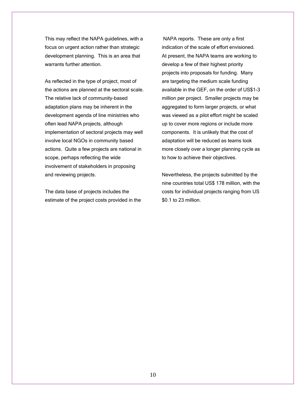This may reflect the NAPA guidelines, with a focus on urgent action rather than strategic development planning. This is an area that warrants further attention.

As reflected in the type of project, most of the actions are planned at the sectoral scale. The relative lack of community-based adaptation plans may be inherent in the development agenda of line ministries who often lead NAPA projects, although implementation of sectoral projects may well involve local NGOs in community based actions. Quite a few projects are national in scope, perhaps reflecting the wide involvement of stakeholders in proposing and reviewing projects.

The data base of projects includes the estimate of the project costs provided in the

 NAPA reports. These are only a first indication of the scale of effort envisioned. At present, the NAPA teams are working to develop a few of their highest priority projects into proposals for funding. Many are targeting the medium scale funding available in the GEF, on the order of US\$1-3 million per project. Smaller projects may be aggregated to form larger projects, or what was viewed as a pilot effort might be scaled up to cover more regions or include more components. It is unlikely that the cost of adaptation will be reduced as teams look more closely over a longer planning cycle as to how to achieve their objectives.

Nevertheless, the projects submitted by the nine countries total US\$ 178 million, with the costs for individual projects ranging from US \$0.1 to 23 million.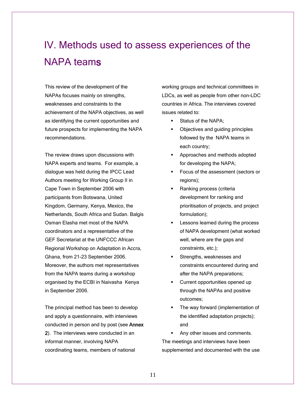# IV. Methods used to assess experiences of the NAPA teams

This review of the development of the NAPAs focuses mainly on strengths, weaknesses and constraints to the achievement of the NAPA objectives, as well as identifying the current opportunities and future prospects for implementing the NAPA recommendations.

The review draws upon discussions with NAPA experts and teams. For example, a dialogue was held during the IPCC Lead Authors meeting for Working Group II in Cape Town in September 2006 with participants from Botswana, United Kingdom, Germany, Kenya, Mexico, the Netherlands, South Africa and Sudan. Balgis Osman Elasha met most of the NAPA coordinators and a representative of the GEF Secretariat at the UNFCCC African Regional Workshop on Adaptation in Accra, Ghana, from 21-23 September 2006. Moreover, the authors met representatives from the NAPA teams during a workshop organised by the ECBI in Naivasha Kenya in September 2006.

The principal method has been to develop and apply a questionnaire, with interviews conducted in person and by post (see Annex 2). The interviews were conducted in an informal manner, involving NAPA coordinating teams, members of national

working groups and technical committees in LDCs, as well as people from other non-LDC countries in Africa. The interviews covered issues related to:

- **Status of the NAPA;**
- Objectives and guiding principles followed by the NAPA teams in each country;
- **Approaches and methods adopted** for developing the NAPA;
- **Focus of the assessment (sectors or** regions);
- Ranking process (criteria development for ranking and prioritisation of projects, and project formulation);
- Lessons learned during the process of NAPA development (what worked well, where are the gaps and constraints, etc.);
- **Strengths, weaknesses and** constraints encountered during and after the NAPA preparations;
- **Current opportunities opened up** through the NAPAs and positive outcomes;
- The way forward (implementation of the identified adaptation projects); and

 Any other issues and comments. The meetings and interviews have been supplemented and documented with the use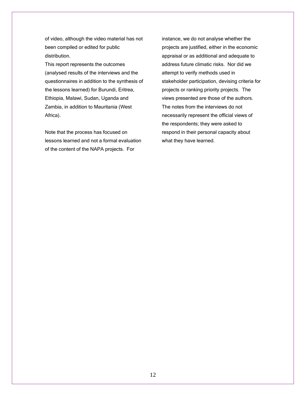of video, although the video material has not been compiled or edited for public distribution.

This report represents the outcomes (analysed results of the interviews and the questionnaires in addition to the synthesis of the lessons learned) for Burundi, Eritrea, Ethiopia, Malawi, Sudan, Uganda and Zambia, in addition to Mauritania (West Africa).

Note that the process has focused on lessons learned and not a formal evaluation of the content of the NAPA projects. For

instance, we do not analyse whether the projects are justified, either in the economic appraisal or as additional and adequate to address future climatic risks. Nor did we attempt to verify methods used in stakeholder participation, devising criteria for projects or ranking priority projects. The views presented are those of the authors. The notes from the interviews do not necessarily represent the official views of the respondents; they were asked to respond in their personal capacity about what they have learned.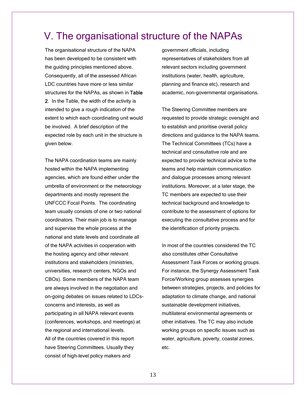# V. The organisational structure of the NAPAs

The organisational structure of the NAPA has been developed to be consistent with the guiding principles mentioned above. Consequently, all of the assessed African LDC countries have more or less similar structures for the NAPAs, as shown in Table 2. In the Table, the width of the activity is intended to give a rough indication of the extent to which each coordinating unit would be involved. A brief description of the expected role by each unit in the structure is given below.

The NAPA coordination teams are mainly hosted within the NAPA implementing agencies, which are found either under the umbrella of environment or the meteorology departments and mostly represent the UNFCCC Focal Points. The coordinating team usually consists of one or two national coordinators. Their main job is to manage and supervise the whole process at the national and state levels and coordinate all of the NAPA activities in cooperation with the hosting agency and other relevant institutions and stakeholders (ministries, universities, research centers, NGOs and CBOs). Some members of the NAPA team are always involved in the negotiation and on-going debates on issues related to LDCsconcerns and interests, as well as participating in all NAPA relevant events (conferences, workshops, and meetings) at the regional and international levels. All of the countries covered in this report have Steering Committees. Usually they consist of high-level policy makers and

government officials, including representatives of stakeholders from all relevant sectors including government institutions (water, health, agriculture, planning and finance etc), research and academic, non-governmental organisations.

The Steering Committee members are requested to provide strategic oversight and to establish and prioritise overall policy directions and guidance to the NAPA teams. The Technical Committees (TCs) have a technical and consultative role and are expected to provide technical advice to the teams and help maintain communication and dialogue processes among relevant institutions. Moreover, at a later stage, the TC members are expected to use their technical background and knowledge to contribute to the assessment of options for executing the consultative process and for the identification of priority projects.

In most of the countries considered the TC also constitutes other Consultative Assessment Task Forces or working groups. For instance, the Synergy Assessment Task Force/Working group assesses synergies between strategies, projects, and policies for adaptation to climate change, and national sustainable development initiatives, multilateral environmental agreements or other initiatives. The TC may also include working groups on specific issues such as water, agriculture, poverty, coastal zones, etc.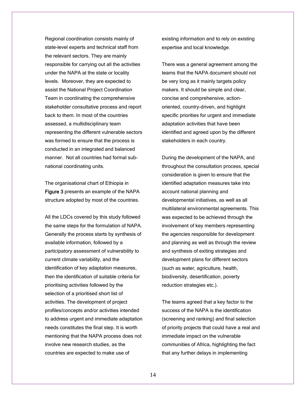Regional coordination consists mainly of state-level experts and technical staff from the relevant sectors. They are mainly responsible for carrying out all the activities under the NAPA at the state or locality levels. Moreover, they are expected to assist the National Project Coordination Team in coordinating the comprehensive stakeholder consultative process and report back to them. In most of the countries assessed, a multidisciplinary team representing the different vulnerable sectors was formed to ensure that the process is conducted in an integrated and balanced manner. Not all countries had formal subnational coordinating units.

The organisational chart of Ethiopia in Figure 3 presents an example of the NAPA structure adopted by most of the countries.

All the LDCs covered by this study followed the same steps for the formulation of NAPA. Generally the process starts by synthesis of available information, followed by a participatory assessment of vulnerability to current climate variability, and the identification of key adaptation measures, then the identification of suitable criteria for prioritising activities followed by the selection of a prioritised short list of activities. The development of project profiles/concepts and/or activities intended to address urgent and immediate adaptation needs constitutes the final step. It is worth mentioning that the NAPA process does not involve new research studies, as the countries are expected to make use of

existing information and to rely on existing expertise and local knowledge.

There was a general agreement among the teams that the NAPA document should not be very long as it mainly targets policy makers. It should be simple and clear, concise and comprehensive, actionoriented, country-driven, and highlight specific priorities for urgent and immediate adaptation activities that have been identified and agreed upon by the different stakeholders in each country.

During the development of the NAPA, and throughout the consultation process, special consideration is given to ensure that the identified adaptation measures take into account national planning and developmental initiatives, as well as all multilateral environmental agreements. This was expected to be achieved through the involvement of key members representing the agencies responsible for development and planning as well as through the review and synthesis of exiting strategies and development plans for different sectors (such as water, agriculture, health, biodiversity, desertification, poverty reduction strategies etc.).

The teams agreed that a key factor to the success of the NAPA is the identification (screening and ranking) and final selection of priority projects that could have a real and immediate impact on the vulnerable communities of Africa, highlighting the fact that any further delays in implementing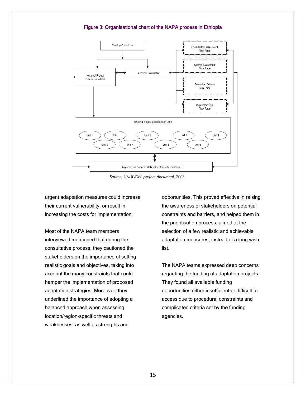#### Figure 3: Organisational chart of the NAPA process in Ethiopia



Source: UNDP/GEF project document, 2003

urgent adaptation measures could increase their current vulnerability, or result in increasing the costs for implementation.

Most of the NAPA team members interviewed mentioned that during the consultative process, they cautioned the stakeholders on the importance of setting realistic goals and objectives, taking into account the many constraints that could hamper the implementation of proposed adaptation strategies. Moreover, they underlined the importance of adopting a balanced approach when assessing location/region-specific threats and weaknesses, as well as strengths and

opportunities. This proved effective in raising the awareness of stakeholders on potential constraints and barriers, and helped them in the prioritisation process, aimed at the selection of a few realistic and achievable adaptation measures, instead of a long wish list.

The NAPA teams expressed deep concerns regarding the funding of adaptation projects. They found all available funding opportunities either insufficient or difficult to access due to procedural constraints and complicated criteria set by the funding agencies.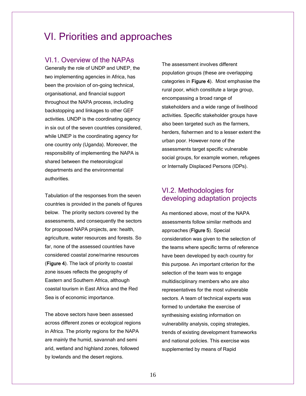# VI. Priorities and approaches

### VI.1. Overview of the NAPAs

Generally the role of UNDP and UNEP, the two implementing agencies in Africa, has been the provision of on-going technical, organisational, and financial support throughout the NAPA process, including backstopping and linkages to other GEF activities. UNDP is the coordinating agency in six out of the seven countries considered, while UNEP is the coordinating agency for one country only (Uganda). Moreover, the responsibility of implementing the NAPA is shared between the meteorological departments and the environmental authorities.

Tabulation of the responses from the seven countries is provided in the panels of figures below. The priority sectors covered by the assessments, and consequently the sectors for proposed NAPA projects, are: health, agriculture, water resources and forests. So far, none of the assessed countries have considered coastal zone/marine resources (Figure 4). The lack of priority to coastal zone issues reflects the geography of Eastern and Southern Africa, although coastal tourism in East Africa and the Red Sea is of economic importance.

The above sectors have been assessed across different zones or ecological regions in Africa. The priority regions for the NAPA are mainly the humid, savannah and semi arid, wetland and highland zones, followed by lowlands and the desert regions.

The assessment involves different population groups (these are overlapping categories in Figure 4). Most emphasise the rural poor, which constitute a large group, encompassing a broad range of stakeholders and a wide range of livelihood activities. Specific stakeholder groups have also been targeted such as the farmers, herders, fishermen and to a lesser extent the urban poor. However none of the assessments target specific vulnerable social groups, for example women, refugees or Internally Displaced Persons (IDPs).

### VI.2. Methodologies for developing adaptation projects

As mentioned above, most of the NAPA assessments follow similar methods and approaches (Figure 5). Special consideration was given to the selection of the teams where specific terms of reference have been developed by each country for this purpose. An important criterion for the selection of the team was to engage multidisciplinary members who are also representatives for the most vulnerable sectors. A team of technical experts was formed to undertake the exercise of synthesising existing information on vulnerability analysis, coping strategies, trends of existing development frameworks and national policies. This exercise was supplemented by means of Rapid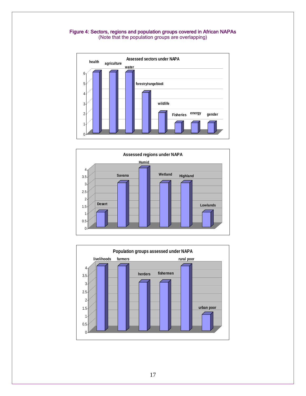#### Figure 4: Sectors, regions and population groups covered in African NAPAs

(Note that the population groups are overlapping)





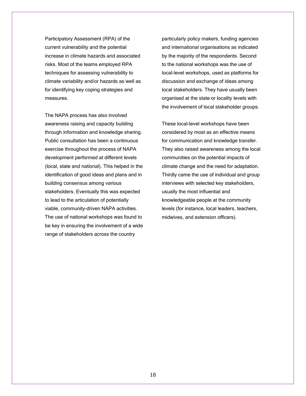Participatory Assessment (RPA) of the current vulnerability and the potential increase in climate hazards and associated risks. Most of the teams employed RPA techniques for assessing vulnerability to climate variability and/or hazards as well as for identifying key coping strategies and measures.

The NAPA process has also involved awareness raising and capacity building through information and knowledge sharing. Public consultation has been a continuous exercise throughout the process of NAPA development performed at different levels (local, state and national). This helped in the identification of good ideas and plans and in building consensus among various stakeholders. Eventually this was expected to lead to the articulation of potentially viable, community-driven NAPA activities. The use of national workshops was found to be key in ensuring the involvement of a wide range of stakeholders across the country

particularly policy makers, funding agencies and international organisations as indicated by the majority of the respondents. Second to the national workshops was the use of local-level workshops, used as platforms for discussion and exchange of ideas among local stakeholders. They have usually been organised at the state or locality levels with the involvement of local stakeholder groups.

These local-level workshops have been considered by most as an effective means for communication and knowledge transfer. They also raised awareness among the local communities on the potential impacts of climate change and the need for adaptation. Thirdly came the use of individual and group interviews with selected key stakeholders, usually the most influential and knowledgeable people at the community levels (for instance, local leaders, teachers, midwives, and extension officers).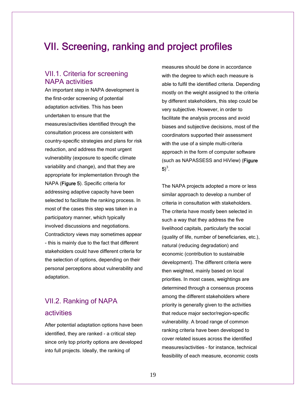# VII. Screening, ranking and project profiles

### VII.1. Criteria for screening NAPA activities

An important step in NAPA development is the first-order screening of potential adaptation activities. This has been undertaken to ensure that the measures/activities identified through the consultation process are consistent with country-specific strategies and plans for risk reduction, and address the most urgent vulnerability (exposure to specific climate variability and change), and that they are appropriate for implementation through the NAPA (Figure 5). Specific criteria for addressing adaptive capacity have been selected to facilitate the ranking process. In most of the cases this step was taken in a participatory manner, which typically involved discussions and negotiations. Contradictory views may sometimes appear - this is mainly due to the fact that different stakeholders could have different criteria for the selection of options, depending on their personal perceptions about vulnerability and adaptation.

## VII.2. Ranking of NAPA activities

After potential adaptation options have been identified, they are ranked - a critical step since only top priority options are developed into full projects. Ideally, the ranking of

measures should be done in accordance with the degree to which each measure is able to fulfil the identified criteria. Depending mostly on the weight assigned to the criteria by different stakeholders, this step could be very subjective. However, in order to facilitate the analysis process and avoid biases and subjective decisions, most of the coordinators supported their assessment with the use of a simple multi-criteria approach in the form of computer software (such as NAPASSESS and HiView) (Figure  $5)^3$ .

The NAPA projects adopted a more or less similar approach to develop a number of criteria in consultation with stakeholders. The criteria have mostly been selected in such a way that they address the five livelihood capitals, particularly the social (quality of life, number of beneficiaries, etc.), natural (reducing degradation) and economic (contribution to sustainable development). The different criteria were then weighted, mainly based on local priorities. In most cases, weightings are determined through a consensus process among the different stakeholders where priority is generally given to the activities that reduce major sector/region-specific vulnerability. A broad range of common ranking criteria have been developed to cover related issues across the identified measures/activities – for instance, technical feasibility of each measure, economic costs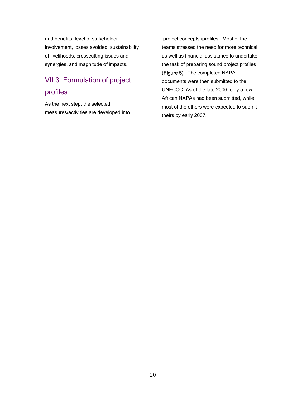and benefits, level of stakeholder involvement, losses avoided, sustainability of livelihoods, crosscutting issues and synergies, and magnitude of impacts.

# VII.3. Formulation of project profiles

As the next step, the selected measures/activities are developed into

 project concepts /profiles. Most of the teams stressed the need for more technical as well as financial assistance to undertake the task of preparing sound project profiles (Figure 5). The completed NAPA documents were then submitted to the UNFCCC. As of the late 2006, only a few African NAPAs had been submitted, while most of the others were expected to submit theirs by early 2007.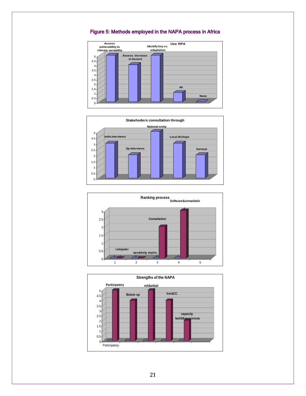

### Figure 5: Methods employed in the NAPA process in Africa





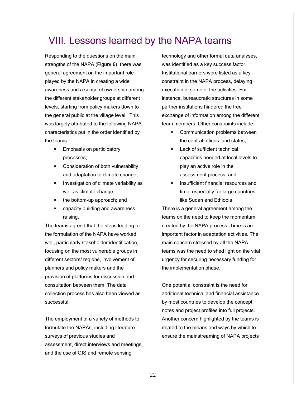# VIII. Lessons learned by the NAPA teams

Responding to the questions on the main strengths of the NAPA (**Figure 6**), there was general agreement on the important role played by the NAPA in creating a wide awareness and a sense of ownership among the different stakeholder groups at different levels, starting from policy makers down to the general public at the village level. This was largely attributed to the following NAPA characteristics put in the order identified by the teams:

- **Emphasis on participatory** processes;
- **EXECONS** Consideration of both vulnerability and adaptation to climate change;
- **Investigation of climate variability as** well as climate change;
- the bottom-up approach; and
- capacity building and awareness raising.

The teams agreed that the steps leading to the formulation of the NAPA have worked well, particularly stakeholder identification, focusing on the most vulnerable groups in different sectors/ regions, involvement of planners and policy makers and the provision of platforms for discussion and consultation between them. The data collection process has also been viewed as successful.

The employment of a variety of methods to formulate the NAPAs, including literature surveys of previous studies and assessment, direct interviews and meetings, and the use of GIS and remote sensing

technology and other formal data analyses, was identified as a key success factor. Institutional barriers were listed as a key constraint in the NAPA process, delaying execution of some of the activities. For instance, bureaucratic structures in some partner institutions hindered the free exchange of information among the different team members. Other constraints include:

- Communication problems between the central offices and states;
- Lack of sufficient technical capacities needed at local levels to play an active role in the assessment process; and
- **Insufficient financial resources and** time, especially for large countries like Sudan and Ethiopia.

There is a general agreement among the teams on the need to keep the momentum created by the NAPA process. Time is an important factor in adaptation activities. The main concern stressed by all the NAPA teams was the need to shed light on the vital urgency for securing necessary funding for the implementation phase.

One potential constraint is the need for additional technical and financial assistance by most countries to develop the concept notes and project profiles into full projects. Another concern highlighted by the teams is related to the means and ways by which to ensure the mainstreaming of NAPA projects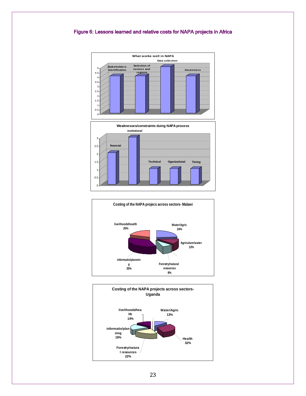### Figure 6: Lessons learned and relative costs for NAPA projects in Africa





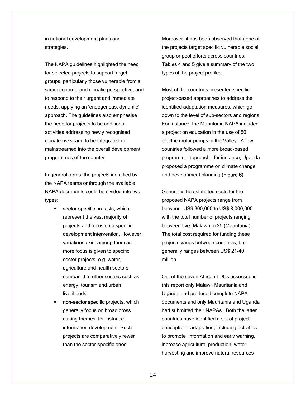in national development plans and strategies.

The NAPA guidelines highlighted the need for selected projects to support target groups, particularly those vulnerable from a socioeconomic and climatic perspective, and to respond to their urgent and immediate needs, applying an 'endogenous, dynamic' approach. The guidelines also emphasise the need for projects to be additional activities addressing newly recognised climate risks, and to be integrated or mainstreamed into the overall development programmes of the country.

In general terms, the projects identified by the NAPA teams or through the available NAPA documents could be divided into two types:

- sector-specific projects, which represent the vast majority of projects and focus on a specific development intervention. However, variations exist among them as more focus is given to specific sector projects, e.g. water, agriculture and health sectors compared to other sectors such as energy, tourism and urban **livelihoods**
- non-sector specific projects, which generally focus on broad cross cutting themes, for instance, information development. Such projects are comparatively fewer than the sector-specific ones.

Moreover, it has been observed that none of the projects target specific vulnerable social group or pool efforts across countries. Tables 4 and 5 give a summary of the two types of the project profiles.

Most of the countries presented specific project-based approaches to address the identified adaptation measures, which go down to the level of sub-sectors and regions. For instance, the Mauritania NAPA included a project on education in the use of 50 electric motor pumps in the Valley. A few countries followed a more broad-based programme approach - for instance, Uganda proposed a programme on climate change and development planning (Figure 6).

Generally the estimated costs for the proposed NAPA projects range from between US\$ 300,000 to US\$ 8,000,000 with the total number of projects ranging between five (Malawi) to 25 (Mauritania). The total cost required for funding these projects varies between countries, but generally ranges between US\$ 21-40 million.

Out of the seven African LDCs assessed in this report only Malawi, Mauritania and Uganda had produced complete NAPA documents and only Mauritania and Uganda had submitted their NAPAs. Both the latter countries have identified a set of project concepts for adaptation, including activities to promote information and early warning, increase agricultural production, water harvesting and improve natural resources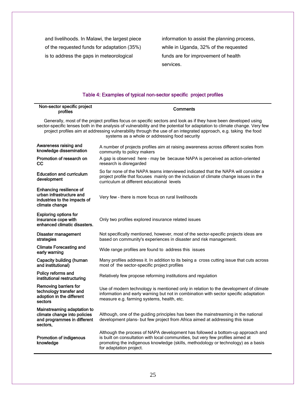and livelihoods. In Malawi, the largest piece of the requested funds for adaptation (35%) is to address the gaps in meteorological

information to assist the planning process, while in Uganda, 32% of the requested funds are for improvement of health services.

### Table 4: Examples of typical non-sector specific project profiles

| Non-sector specific project<br>profiles                                                                | <b>Comments</b>                                                                                                                                                                                                                                                                                                                                                                                                    |
|--------------------------------------------------------------------------------------------------------|--------------------------------------------------------------------------------------------------------------------------------------------------------------------------------------------------------------------------------------------------------------------------------------------------------------------------------------------------------------------------------------------------------------------|
|                                                                                                        | Generally, most of the project profiles focus on specific sectors and look as if they have been developed using<br>sector-specific lenses both in the analysis of vulnerability and the potential for adaptation to climate change. Very few<br>project profiles aim at addressing vulnerability through the use of an integrated approach, e.g. taking the food<br>systems as a whole or addressing food security |
| Awareness raising and<br>knowledge dissemination                                                       | A number of projects profiles aim at raising awareness across different scales from<br>community to policy makers                                                                                                                                                                                                                                                                                                  |
| Promotion of research on<br>cc                                                                         | A gap is observed here - may be because NAPA is perceived as action-oriented<br>research is disregarded                                                                                                                                                                                                                                                                                                            |
| <b>Education and curriculum</b><br>development                                                         | So far none of the NAPA teams interviewed indicated that the NAPA will consider a<br>project profile that focuses mainly on the inclusion of climate change issues in the<br>curriculum at different educational levels                                                                                                                                                                                            |
| Enhancing resilience of<br>urban infrastructure and<br>industries to the impacts of<br>climate change  | Very few - there is more focus on rural livelihoods                                                                                                                                                                                                                                                                                                                                                                |
| <b>Exploring options for</b><br>insurance cope with<br>enhanced climatic disasters.                    | Only two profiles explored insurance related issues                                                                                                                                                                                                                                                                                                                                                                |
| Disaster management<br>strategies                                                                      | Not specifically mentioned, however, most of the sector-specific projects ideas are<br>based on community's experiences in disaster and risk management.                                                                                                                                                                                                                                                           |
| <b>Climate Forecasting and</b><br>early warning                                                        | Wide range profiles are found to address this issues                                                                                                                                                                                                                                                                                                                                                               |
| Capacity building (human<br>and institutional)                                                         | Many profiles address it. In addition to its being a cross cutting issue that cuts across<br>most of the sector-specific project profiles                                                                                                                                                                                                                                                                          |
| Policy reforms and<br>institutional restructuring                                                      | Relatively few propose reforming institutions and regulation                                                                                                                                                                                                                                                                                                                                                       |
| Removing barriers for<br>technology transfer and<br>adoption in the different<br>sectors               | Use of modern technology is mentioned only in relation to the development of climate<br>information and early warning but not in combination with sector specific adaptation<br>measure e.g. farming systems, health, etc.                                                                                                                                                                                         |
| Mainstreaming adaptation to<br>climate change into policies<br>and programmes in different<br>sectors, | Although, one of the guiding principles has been the mainstreaming in the national<br>development plans- but few project from Africa aimed at addressing this issue                                                                                                                                                                                                                                                |
| <b>Promotion of indigenous</b><br>knowledge                                                            | Although the process of NAPA development has followed a bottom-up approach and<br>is built on consultation with local communities, but very few profiles aimed at<br>promoting the indigenous knowledge (skills, methodology or technology) as a basis<br>for adaptation project.                                                                                                                                  |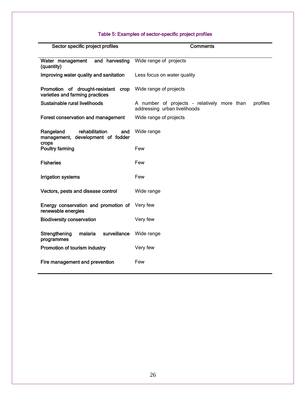### Table 5: Examples of sector-specific project profiles

| Sector specific project profiles                                                 | Comments                                                                                |
|----------------------------------------------------------------------------------|-----------------------------------------------------------------------------------------|
| and harvesting<br>Water management<br>(quantity)                                 | Wide range of projects                                                                  |
| Improving water quality and sanitation                                           | Less focus on water quality                                                             |
| Promotion of drought-resistant crop<br>varieties and farming practices           | Wide range of projects                                                                  |
| Sustainable rural livelihoods                                                    | A number of projects - relatively more than<br>profiles<br>addressing urban livelihoods |
| Forest conservation and management                                               | Wide range of projects                                                                  |
| rehabilitation<br>Rangeland<br>and<br>management, development of fodder<br>crops | Wide range                                                                              |
| <b>Poultry farming</b>                                                           | Few                                                                                     |
| <b>Fisheries</b>                                                                 | Few                                                                                     |
| <b>Irrigation systems</b>                                                        | Few                                                                                     |
| Vectors, pests and disease control                                               | Wide range                                                                              |
| Energy conservation and promotion of<br>renewable energies                       | Very few                                                                                |
| <b>Biodiversity conservation</b>                                                 | Very few                                                                                |
| surveillance<br>Strengthening<br>malaria<br>programmes                           | Wide range                                                                              |
| Promotion of tourism industry                                                    | Very few                                                                                |
| Fire management and prevention                                                   | Few                                                                                     |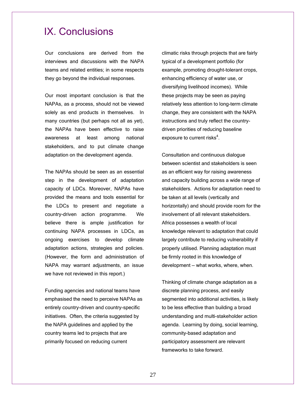# IX. Conclusions

Our conclusions are derived from the interviews and discussions with the NAPA teams and related entities; in some respects they go beyond the individual responses.

Our most important conclusion is that the NAPAs, as a process, should not be viewed solely as end products in themselves. In many countries (but perhaps not all as yet), the NAPAs have been effective to raise awareness at least among national stakeholders, and to put climate change adaptation on the development agenda.

The NAPAs should be seen as an essential step in the development of adaptation capacity of LDCs. Moreover, NAPAs have provided the means and tools essential for the LDCs to present and negotiate a country-driven action programme. We believe there is ample justification for continuing NAPA processes in LDCs, as ongoing exercises to develop climate adaptation actions, strategies and policies. (However, the form and administration of NAPA may warrant adjustments, an issue we have not reviewed in this report.)

Funding agencies and national teams have emphasised the need to perceive NAPAs as entirely country-driven and country-specific initiatives. Often, the criteria suggested by the NAPA guidelines and applied by the country teams led to projects that are primarily focused on reducing current

climatic risks through projects that are fairly typical of a development portfolio (for example, promoting drought-tolerant crops, enhancing efficiency of water use, or diversifying livelihood incomes). While these projects may be seen as paying relatively less attention to long-term climate change, they are consistent with the NAPA instructions and truly reflect the countrydriven priorities of reducing baseline exposure to current risks $^4$ .

Consultation and continuous dialogue between scientist and stakeholders is seen as an efficient way for raising awareness and capacity building across a wide range of stakeholders. Actions for adaptation need to be taken at all levels (vertically and horizontally) and should provide room for the involvement of all relevant stakeholders. Africa possesses a wealth of local knowledge relevant to adaptation that could largely contribute to reducing vulnerability if properly utilised. Planning adaptation must be firmly rooted in this knowledge of development — what works, where, when.

Thinking of climate change adaptation as a discrete planning process, and easily segmented into additional activities, is likely to be less effective than building a broad understanding and multi-stakeholder action agenda. Learning by doing, social learning, community-based adaptation and participatory assessment are relevant frameworks to take forward.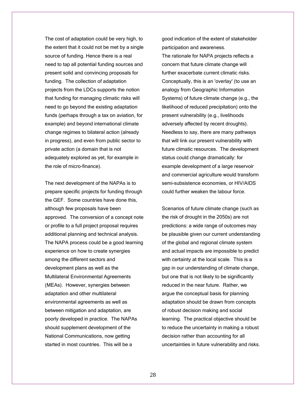The cost of adaptation could be very high, to the extent that it could not be met by a single source of funding. Hence there is a real need to tap all potential funding sources and present solid and convincing proposals for funding. The collection of adaptation projects from the LDCs supports the notion that funding for managing climatic risks will need to go beyond the existing adaptation funds (perhaps through a tax on aviation, for example) and beyond international climate change regimes to bilateral action (already in progress), and even from public sector to private action (a domain that is not adequately explored as yet, for example in the role of micro-finance).

The next development of the NAPAs is to prepare specific projects for funding through the GEF. Some countries have done this, although few proposals have been approved. The conversion of a concept note or profile to a full project proposal requires additional planning and technical analysis. The NAPA process could be a good learning experience on how to create synergies among the different sectors and development plans as well as the Multilateral Environmental Agreements (MEAs). However, synergies between adaptation and other multilateral environmental agreements as well as between mitigation and adaptation, are poorly developed in practice. The NAPAs should supplement development of the National Communications, now getting started in most countries. This will be a

good indication of the extent of stakeholder participation and awareness. The rationale for NAPA projects reflects a concern that future climate change will further exacerbate current climatic risks. Conceptually, this is an 'overlay' (to use an analogy from Geographic Information Systems) of future climate change (e.g., the likelihood of reduced precipitation) onto the present vulnerability (e.g., livelihoods adversely affected by recent droughts). Needless to say, there are many pathways that will link our present vulnerability with future climatic resources. The development status could change dramatically: for example development of a large reservoir and commercial agriculture would transform semi-subsistence economies, or HIV/AIDS could further weaken the labour force.

Scenarios of future climate change (such as the risk of drought in the 2050s) are not predictions: a wide range of outcomes may be plausible given our current understanding of the global and regional climate system and actual impacts are impossible to predict with certainty at the local scale. This is a gap in our understanding of climate change, but one that is not likely to be significantly reduced in the near future. Rather, we argue the conceptual basis for planning adaptation should be drawn from concepts of robust decision making and social learning. The practical objective should be to reduce the uncertainty in making a robust decision rather than accounting for all uncertainties in future vulnerability and risks.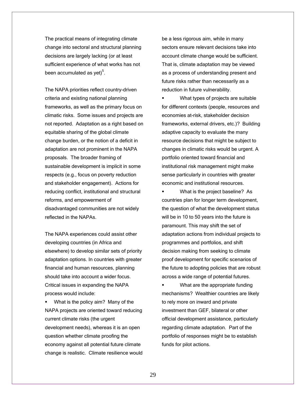The practical means of integrating climate change into sectoral and structural planning decisions are largely lacking (or at least sufficient experience of what works has not been accumulated as yet) $5$ .

The NAPA priorities reflect country-driven criteria and existing national planning frameworks, as well as the primary focus on climatic risks. Some issues and projects are not reported. Adaptation as a right based on equitable sharing of the global climate change burden, or the notion of a deficit in adaptation are not prominent in the NAPA proposals. The broader framing of sustainable development is implicit in some respects (e.g., focus on poverty reduction and stakeholder engagement). Actions for reducing conflict, institutional and structural reforms, and empowerment of disadvantaged communities are not widely reflected in the NAPAs.

The NAPA experiences could assist other developing countries (in Africa and elsewhere) to develop similar sets of priority adaptation options. In countries with greater financial and human resources, planning should take into account a wider focus. Critical issues in expanding the NAPA process would include:

**What is the policy aim? Many of the** NAPA projects are oriented toward reducing current climate risks (the urgent development needs), whereas it is an open question whether climate proofing the economy against all potential future climate change is realistic. Climate resilience would

be a less rigorous aim, while in many sectors ensure relevant decisions take into account climate change would be sufficient. That is, climate adaptation may be viewed as a process of understanding present and future risks rather than necessarily as a reduction in future vulnerability.

 What types of projects are suitable for different contexts (people, resources and economies at-risk, stakeholder decision frameworks, external drivers, etc.)? Building adaptive capacity to evaluate the many resource decisions that might be subject to changes in climatic risks would be urgent. A portfolio oriented toward financial and institutional risk management might make sense particularly in countries with greater economic and institutional resources.

 What is the project baseline? As countries plan for longer term development, the question of what the development status will be in 10 to 50 years into the future is paramount. This may shift the set of adaptation actions from individual projects to programmes and portfolios, and shift decision making from seeking to climate proof development for specific scenarios of the future to adopting policies that are robust across a wide range of potential futures.

 What are the appropriate funding mechanisms? Wealthier countries are likely to rely more on inward and private investment than GEF, bilateral or other official development assistance, particularly regarding climate adaptation. Part of the portfolio of responses might be to establish funds for pilot actions.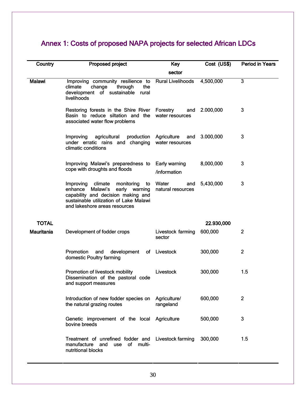# Annex 1: Costs of proposed NAPA projects for selected African LDCs

| Country           | Proposed project                                                                                                                                                                                  | Key                                   | Cost (US\$) | <b>Period in Years</b> |
|-------------------|---------------------------------------------------------------------------------------------------------------------------------------------------------------------------------------------------|---------------------------------------|-------------|------------------------|
|                   |                                                                                                                                                                                                   | sector                                |             |                        |
| <b>Malawi</b>     | Improving community resilience to<br>climate<br>change<br>through<br>the<br>development of sustainable<br>rural<br>livelihoods                                                                    | <b>Rural Livelihoods</b>              | 4,500,000   | 3                      |
|                   | Restoring forests in the Shire River<br>Basin to reduce siltation and the<br>associated water flow problems                                                                                       | Forestry<br>and<br>water resources    | 2.000,000   | 3                      |
|                   | Improving<br>agricultural<br>production<br>under erratic rains and changing<br>climatic conditions                                                                                                | Agriculture<br>and<br>water resources | 3.000,000   | 3                      |
|                   | Improving Malawi's preparedness to<br>cope with droughts and floods                                                                                                                               | Early warning<br>/information         | 8,000,000   | 3                      |
|                   | monitoring<br>Improving<br>climate<br>to<br>early warning<br>Malawi's<br>enhance<br>capability and decision making and<br>sustainable utilization of Lake Malawi<br>and lakeshore areas resources | Water<br>and<br>natural resources     | 5,430,000   | 3                      |
| <b>TOTAL</b>      |                                                                                                                                                                                                   |                                       | 22.930,000  |                        |
| <b>Mauritania</b> | Development of fodder crops                                                                                                                                                                       | Livestock farming<br>sector           | 600,000     | $\overline{2}$         |
|                   | Promotion<br>development<br>and<br>of<br>domestic Poultry farming                                                                                                                                 | Livestock                             | 300,000     | $\overline{2}$         |
|                   | Promotion of livestock mobility<br>Dissemination of the pastoral code<br>and support measures                                                                                                     | <b>Livestock</b>                      | 300,000     | 1.5                    |
|                   | Introduction of new fodder species on<br>the natural grazing routes                                                                                                                               | Agriculture/<br>rangeland             | 600,000     | 2                      |
|                   | Genetic improvement of the local Agriculture<br>bovine breeds                                                                                                                                     |                                       | 500,000     | 3                      |
|                   | Treatment of unrefined fodder and<br>manufacture<br>of multi-<br>and<br>use<br>nutritional blocks                                                                                                 | Livestock farming                     | 300,000     | 1.5                    |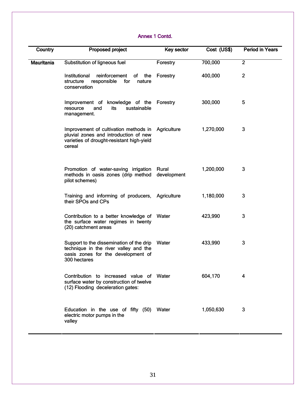### Annex 1 Contd.

| Country           | Proposed project                                                                                                                        | Key sector           | Cost (US\$) | <b>Period in Years</b> |
|-------------------|-----------------------------------------------------------------------------------------------------------------------------------------|----------------------|-------------|------------------------|
| <b>Mauritania</b> | Substitution of ligneous fuel                                                                                                           | Forestry             | 700,000     | $\overline{2}$         |
|                   | reinforcement<br>Institutional<br>of the<br>responsible<br>for<br>structure<br>nature<br>conservation                                   | Forestry             | 400,000     | $\overline{2}$         |
|                   | Improvement of knowledge of the Forestry<br>sustainable<br>resource<br>and<br>its<br>management.                                        |                      | 300,000     | 5                      |
|                   | Improvement of cultivation methods in<br>pluvial zones and introduction of new<br>varieties of drought-resistant high-yield<br>cereal   | Agriculture          | 1,270,000   | 3                      |
|                   | Promotion of water-saving irrigation<br>methods in oasis zones (drip method<br>pilot schemes)                                           | Rural<br>development | 1,200,000   | 3                      |
|                   | Training and informing of producers, Agriculture<br>their SPOs and CPs                                                                  |                      | 1,180,000   | 3                      |
|                   | Contribution to a better knowledge of Water<br>the surface water regimes in twenty<br>(20) catchment areas                              |                      | 423,990     | 3                      |
|                   | Support to the dissemination of the drip<br>technique in the river valley and the<br>oasis zones for the development of<br>300 hectares | Water                | 433,990     | 3                      |
|                   | Contribution to increased value of Water<br>surface water by construction of twelve<br>(12) Flooding deceleration gates:                |                      | 604,170     | 4                      |
|                   | Education in the use of fifty (50) Water<br>electric motor pumps in the<br>valley                                                       |                      | 1,050,630   | 3                      |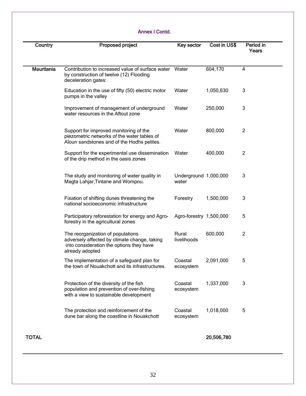### Annex I Contd.

| Country           | Proposed project                                                                                                                                 | Key sector                     | Cost in US\$ | Period in<br>Years |
|-------------------|--------------------------------------------------------------------------------------------------------------------------------------------------|--------------------------------|--------------|--------------------|
| <b>Mauritania</b> | Contribution to increased value of surface water<br>by construction of twelve (12) Flooding<br>deceleration gates:                               | Water                          | 604,170      | 4                  |
|                   | Education in the use of fifty (50) electric motor<br>pumps in the valley                                                                         | Water                          | 1,050,630    | 3                  |
|                   | Improvement of management of underground<br>water resources in the Aftout zone                                                                   | Water                          | 250,000      | 3                  |
|                   | Support for improved monitoring of the<br>piezometric networks of the water tables of<br>Aîoun sandstones and of the Hodhs pelites.              | Water                          | 800,000      | 2                  |
|                   | Support for the experimental use dissemination<br>of the drip method in the oasis zones                                                          | Water                          | 400,000      | $\overline{2}$     |
|                   | The study and monitoring of water quality in<br>Magta Lahjar, Tintane and Wompou.                                                                | Underground 1,000,000<br>water |              | 3                  |
|                   | Fixation of shifting dunes threatening the<br>national socioeconomic infrastructure                                                              | Forestry                       | 1,500,000    | 3                  |
|                   | Participatory reforestation for energy and Agro-<br>forestry in the agricultural zones                                                           | Agro-forestry 1,500,000        |              | 5                  |
|                   | The reorganization of populations<br>adversely affected by climate change, taking<br>into consideration the options they have<br>already adopted | Rural<br>livelihoods           | 600,000      | $\overline{2}$     |
|                   | The implementation of a safeguard plan for<br>the town of Nouakchott and its infrastructures.                                                    | Coastal<br>ecosystem           | 2,091,000    | 5                  |
|                   | Protection of the diversity of the fish<br>population and prevention of over-fishing<br>with a view to sustainable development                   | Coastal<br>ecosystem           | 1,337,000    | 3                  |
|                   | The protection and reinforcement of the<br>dune bar along the coastline in Nouakchott                                                            | Coastal<br>ecosystem           | 1,018,000    | 5                  |
| <b>TOTAL</b>      |                                                                                                                                                  |                                | 20,506,780   |                    |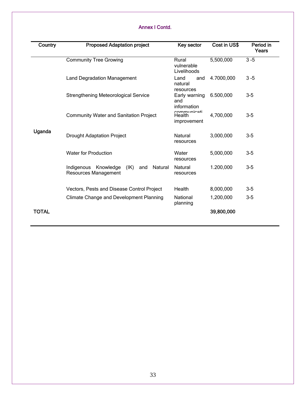### Annex I Contd.

| Country      | <b>Proposed Adaptation project</b>                                        | Key sector                           | Cost in US\$ | Period in<br>Years |
|--------------|---------------------------------------------------------------------------|--------------------------------------|--------------|--------------------|
|              | <b>Community Tree Growing</b>                                             | Rural<br>vulnerable<br>Livelihoods   | 5,500,000    | $3 - 5$            |
|              | <b>Land Degradation Management</b>                                        | Land<br>and<br>natural<br>resources  | 4.7000,000   | $3 - 5$            |
|              | <b>Strengthening Meteorological Service</b>                               | Early warning<br>and<br>information  | 6.500,000    | $3-5$              |
|              | <b>Community Water and Sanitation Project</b>                             | communicati<br>Health<br>improvement | 4,700,000    | $3-5$              |
| Uganda       | <b>Drought Adaptation Project</b>                                         | Natural<br>resources                 | 3,000,000    | $3-5$              |
|              | <b>Water for Production</b>                                               | Water<br>resources                   | 5,000,000    | $3-5$              |
|              | (IK)<br>Natural<br>Indigenous<br>Knowledge<br>and<br>Resources Management | Natural<br>resources                 | 1.200,000    | $3-5$              |
|              | Vectors, Pests and Disease Control Project                                | Health                               | 8,000,000    | $3-5$              |
|              | <b>Climate Change and Development Planning</b>                            | National<br>planning                 | 1,200,000    | $3-5$              |
| <b>TOTAL</b> |                                                                           |                                      | 39,800,000   |                    |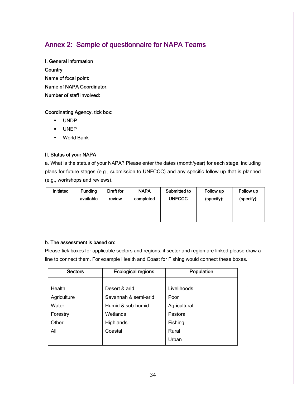## Annex 2: Sample of questionnaire for NAPA Teams

I. General information Country: Name of focal point: Name of NAPA Coordinator: Number of staff involved:

### Coordinating Agency, tick box:

- UNDP
- UNEP
- World Bank

### II. Status of your NAPA

a. What is the status of your NAPA? Please enter the dates (month/year) for each stage, including plans for future stages (e.g., submission to UNFCCC) and any specific follow up that is planned (e.g., workshops and reviews).

| Initiated | <b>Funding</b> | Draft for | <b>NAPA</b> | Submitted to  | Follow up  | Follow up  |
|-----------|----------------|-----------|-------------|---------------|------------|------------|
|           | available      | review    | completed   | <b>UNFCCC</b> | (specify): | (specify): |
|           |                |           |             |               |            |            |

#### b. The assessment is based on:

Please tick boxes for applicable sectors and regions, if sector and region are linked please draw a line to connect them. For example Health and Coast for Fishing would connect these boxes.

| <b>Sectors</b> | <b>Ecological regions</b> | Population   |
|----------------|---------------------------|--------------|
|                |                           |              |
| Health         | Desert & arid             | Livelihoods  |
| Agriculture    | Savannah & semi-arid      | Poor         |
| Water          | Humid & sub-humid         | Agricultural |
| Forestry       | Wetlands                  | Pastoral     |
| Other          | Highlands                 | Fishing      |
| All            | Coastal                   | Rural        |
|                |                           | Urban        |
|                |                           |              |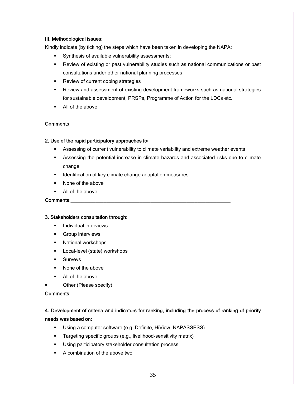### III. Methodological issues:

Kindly indicate (by ticking) the steps which have been taken in developing the NAPA:

- Synthesis of available vulnerability assessments:
- Review of existing or past vulnerability studies such as national communications or past consultations under other national planning processes
- Review of current coping strategies
- Review and assessment of existing development frameworks such as national strategies for sustainable development, PRSPs, Programme of Action for the LDCs etc.
- All of the above

#### Comments:

### 2. Use of the rapid participatory approaches for:

- Assessing of current vulnerability to climate variability and extreme weather events
- Assessing the potential increase in climate hazards and associated risks due to climate change
- **IDENTIFICATED IDENTIFICATES IDENTIFICATES IDENTIFICATES**
- None of the above
- All of the above

### Comments:

#### 3. Stakeholders consultation through:

- **Individual interviews**
- **Group interviews**
- **National workshops**
- **Local-level (state) workshops**
- **Surveys**
- None of the above
- All of the above
- Other (Please specify)

### Comments:

### 4. Development of criteria and indicators for ranking, including the process of ranking of priority needs was based on:

- Using a computer software (e.g. Definite, HiView, NAPASSESS)
- **Targeting specific groups (e.g., livelihood-sensitivity matrix)**
- **Using participatory stakeholder consultation process**
- A combination of the above two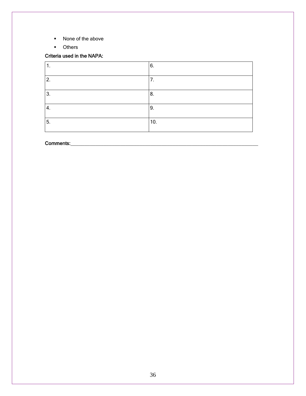- None of the above
- **D**thers

### Criteria used in the NAPA:

| л.               | 6.  |
|------------------|-----|
| 2.               | 7.  |
| 3.               | 8.  |
| $\overline{4}$ . | 9.  |
| 5.               | 10. |

### Comments: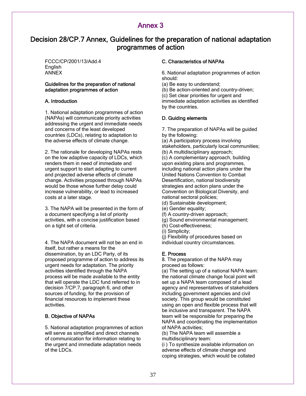## Annex 3

## Decision 28/CP.7 Annex, Guidelines for the preparation of national adaptation programmes of action

FCCC/CP/2001/13/Add.4 English ANNEX

#### Guidelines for the preparation of national adaptation programmes of action

### A. Introduction

1. National adaptation programmes of action (NAPAs) will communicate priority activities addressing the urgent and immediate needs and concerns of the least developed countries (LDCs), relating to adaptation to the adverse effects of climate change.

2. The rationale for developing NAPAs rests on the low adaptive capacity of LDCs, which renders them in need of immediate and urgent support to start adapting to current and projected adverse effects of climate change. Activities proposed through NAPAs would be those whose further delay could increase vulnerability, or lead to increased costs at a later stage.

3. The NAPA will be presented in the form of a document specifying a list of priority activities, with a concise justification based on a tight set of criteria.

4. The NAPA document will not be an end in itself, but rather a means for the dissemination, by an LDC Party, of its proposed programme of action to address its urgent needs for adaptation. The priority activities identified through the NAPA process will be made available to the entity that will operate the LDC fund referred to in decision 7/CP.7, paragraph 6, and other sources of funding, for the provision of financial resources to implement these activities.

### B. Objective of NAPAs

5. National adaptation programmes of action will serve as simplified and direct channels of communication for information relating to the urgent and immediate adaptation needs of the LDCs.

### C. Characteristics of NAPAs

6. National adaptation programmes of action should:

(a) Be easy to understand;

(b) Be action-oriented and country-driven;

(c) Set clear priorities for urgent and immediate adaptation activities as identified by the countries.

### D. Guiding elements

7. The preparation of NAPAs will be guided by the following:

(a) A participatory process involving stakeholders, particularly local communities; (b) A multidisciplinary approach;

(c) A complementary approach, building upon existing plans and programmes, including national action plans under the United Nations Convention to Combat Desertification, national biodiversity strategies and action plans under the Convention on Biological Diversity, and national sectoral policies;

(d) Sustainable development;

- (e) Gender equality;
- (f) A country-driven approach;
- (g) Sound environmental management;
- (h) Cost-effectiveness;
- (i) Simplicity;

(j) Flexibility of procedures based on individual country circumstances.

### E. Process

8. The preparation of the NAPA may proceed as follows:

(a) The setting up of a national NAPA team: the national climate change focal point will set up a NAPA team composed of a lead agency and representatives of stakeholders including government agencies and civil society. This group would be constituted using an open and flexible process that will be inclusive and transparent. The NAPA team will be responsible for preparing the NAPA and coordinating the implementation of NAPA activities;

(b) The NAPA team will assemble a multidisciplinary team:

(i ) To synthesize available information on adverse effects of climate change and coping strategies, which would be collated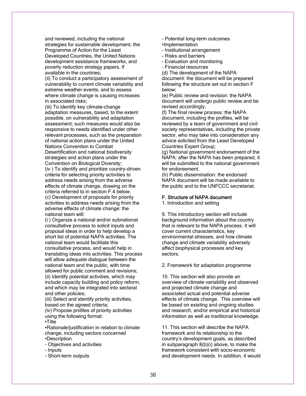and reviewed, including the national strategies for sustainable development, the Programme of Action for the Least Developed Countries, the United Nations development assistance frameworks, and poverty reduction strategy papers, if available in the countries;

(ii) To conduct a participatory assessment of vulnerability to current climate variability and extreme weather events, and to assess where climate change is causing increases in associated risks;

(iii) To identify key climate-change adaptation measures, based, to the extent possible, on vulnerability and adaptation assessment; such measures would also be responsive to needs identified under other relevant processes, such as the preparation of national action plans under the United Nations Convention to Combat Desertification and national biodiversity strategies and action plans under the Convention on Biological Diversity; (iv ) To identify and prioritize country-driven criteria for selecting priority activities to address needs arising from the adverse effects of climate change, drawing on the criteria referred to in section F.4 below. (c) Development of proposals for priority activities to address needs arising from the adverse effects of climate change: the national team will:

(i ) Organize a national and/or subnational consultative process to solicit inputs and proposal ideas in order to help develop a short list of potential NAPA activities. The national team would facilitate this consultative process, and would help in translating ideas into activities. This process will allow adequate dialogue between the national team and the public, with time allowed for public comment and revisions; (ii) Identify potential activities, which may include capacity building and policy reform, and which may be integrated into sectoral and other policies;

(iii) Select and identify priority activities, based on the agreed criteria;

(iv) Propose profiles of priority activities using the following format:

•Title

•Rationale/justification in relation to climate change, including sectors concerned •Description

- Objectives and activities
- Inputs
- Short-term outputs
- Potential long-term outcomes
- •Implementation
- Institutional arrangement
- Risks and barriers
- Evaluation and monitoring
- Financial resources

(d) The development of the NAPA document: the document will be prepared following the structure set out in section F below;

(e) Public review and revision: the NAPA document will undergo public review and be revised accordingly;

(f) The final review process: the NAPA document, including the profiles, will be reviewed by a team of government and civil society representatives, including the private sector, who may take into consideration any advice solicited from the Least Developed Countries Expert Group;

(g) National government endorsement of the NAPA: after the NAPA has been prepared, it will be submitted to the national government for endorsement.

(h) Public dissemination: the endorsed NAPA document will be made available to the public and to the UNFCCC secretariat.

#### F. Structure of NAPA document

1. Introduction and setting

9. This introductory section will include background information about the country that is relevant to the NAPA process. It will cover current characteristics, key environmental stresses, and how climate change and climate variability adversely affect biophysical processes and key sectors.

2. Framework for adaptation programme

10. This section will also provide an overview of climate variability and observed and projected climate change and associated actual and potential adverse effects of climate change. This overview will be based on existing and ongoing studies and research, and/or empirical and historical information as well as traditional knowledge.

11. This section will describe the NAPA framework and its relationship to the country's development goals, as described in subparagraph 8(b)(i) above, to make the framework consistent with socio-economic and development needs. In addition, it would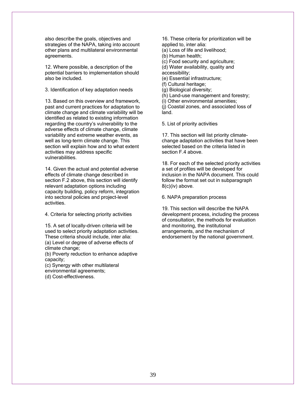also describe the goals, objectives and strategies of the NAPA, taking into account other plans and multilateral environmental agreements.

12. Where possible, a description of the potential barriers to implementation should also be included.

3. Identification of key adaptation needs

13. Based on this overview and framework, past and current practices for adaptation to climate change and climate variability will be identified as related to existing information regarding the country's vulnerability to the adverse effects of climate change, climate variability and extreme weather events, as well as long-term climate change. This section will explain how and to what extent activities may address specific vulnerabilities.

14. Given the actual and potential adverse effects of climate change described in section F.2 above, this section will identify relevant adaptation options including capacity building, policy reform, integration into sectoral policies and project-level activities.

4. Criteria for selecting priority activities

15. A set of locally-driven criteria will be used to select priority adaptation activities. These criteria should include, inter alia: (a) Level or degree of adverse effects of climate change;

(b) Poverty reduction to enhance adaptive capacity;

(c) Synergy with other multilateral

environmental agreements;

(d) Cost-effectiveness.

16. These criteria for prioritization will be applied to, inter alia:

(a) Loss of life and livelihood;

(b) Human health;

(c) Food security and agriculture;

(d) Water availability, quality and

accessibility;

(e) Essential infrastructure;

(f) Cultural heritage;

(g) Biological diversity;

(h) Land-use management and forestry;

(i) Other environmental amenities;

(j) Coastal zones, and associated loss of land.

5. List of priority activities

17. This section will list priority climatechange adaptation activities that have been selected based on the criteria listed in section F.4 above.

18. For each of the selected priority activities a set of profiles will be developed for inclusion in the NAPA document. This could follow the format set out in subparagraph 8(c)(iv) above.

6. NAPA preparation process

19. This section will describe the NAPA development process, including the process of consultation, the methods for evaluation and monitoring, the institutional arrangements, and the mechanism of endorsement by the national government.